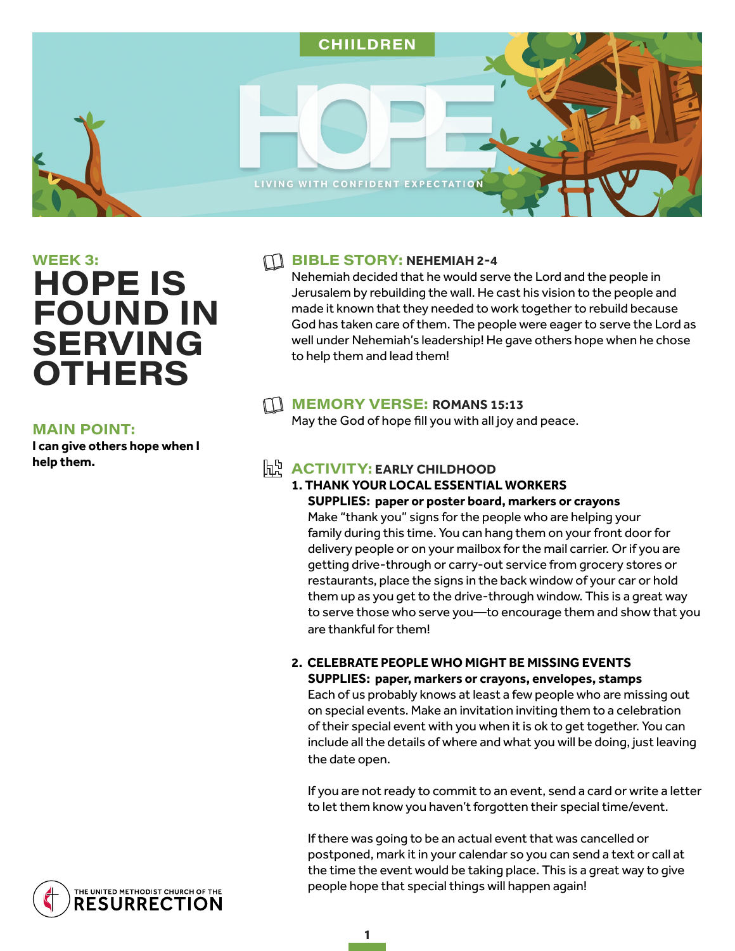

# $WEEK$  3: **HOPE IS FOUND IN SERVING OTHERS**

#### **MAIN POINT:**

**I can give others hope when I help them.** 

#### **THE BIBLE STORY: NEHEMIAH 2-4**

Nehemiah decided that he would serve the Lord and the people in Jerusalem by rebuilding the wall. He cast his vision to the people and made it known that they needed to work together to rebuild because God has taken care of them. The people were eager to serve the Lord as well under Nehemiah's leadership! He gave others hope when he chose to help them and lead them!

## MEMORY VERSE: ROMANS 15:13

May the God of hope fill you with all joy and peace.

# $h^h$  **ACTIVITY: EARLY CHILDHOOD**

# **1. THANK YOUR LOCAL ESSENTIAL WORKERS**

**SUPPLIES: paper or poster board, markers or crayons**  Make "thank you" signs for the people who are helping your family during this time. You can hang them on your front door for delivery people or on your mailbox for the mail carrier. Or if you are getting drive-through or carry-out service from grocery stores or restaurants, place the signs in the back window of your car or hold them up as you get to the drive-through window. This is a great way to serve those who serve you—to encourage them and show that you are thankful for them!

#### **2. CELEBRATE PEOPLE WHO MIGHT BE MISSING EVENTS SUPPLIES: paper, markers or crayons, envelopes, stamps**

Each of us probably knows at least a few people who are missing out on special events. Make an invitation inviting them to a celebration of their special event with you when it is ok to get together. You can include all the details of where and what you will be doing, just leaving the date open.

If you are not ready to commit to an event, send a card or write a letter to let them know you haven't forgotten their special time/event.

If there was going to be an actual event that was cancelled or postponed, mark it in your calendar so you can send a text or call at the time the event would be taking place. This is a great way to give people hope that special things will happen again!

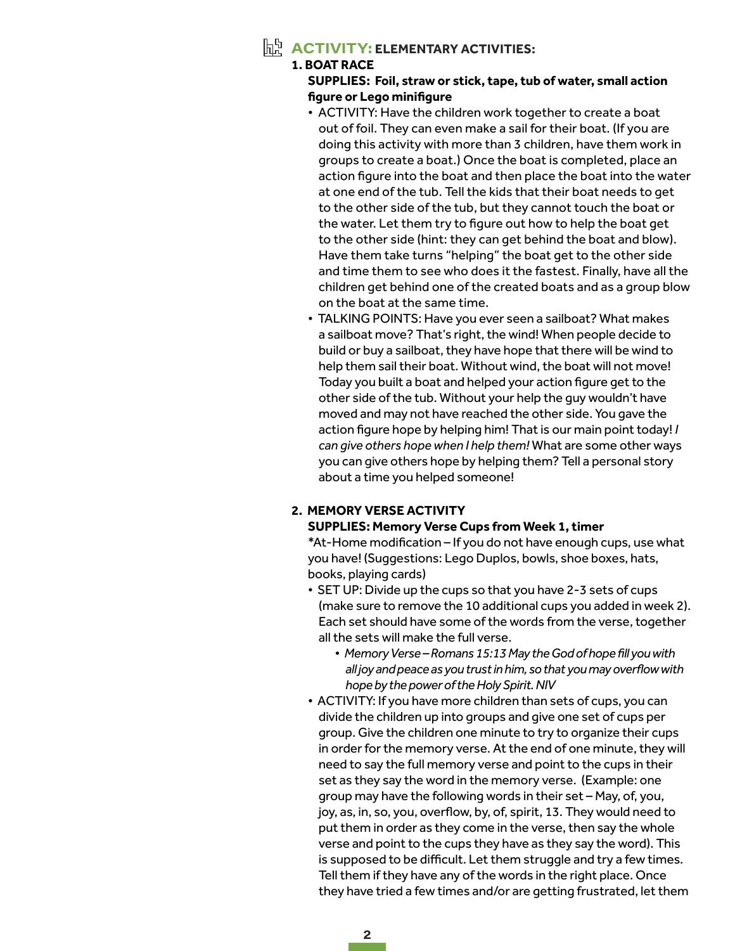## A C T IV IT Y: **ELEMENTARY ACTIVITIES:**

#### **1. BOAT RACE**

#### **SUPPLIES: Foil, straw or stick, tape, tub of water, small action figure or Lego minifigure**

- ACTIVITY: Have the children work together to create a boat out of foil. They can even make a sail for their boat. (If you are doing this activity with more than 3 children, have them work in groups to create a boat.) Once the boat is completed, place an action figure into the boat and then place the boat into the water at one end of the tub. Tell the kids that their boat needs to get to the other side of the tub, but they cannot touch the boat or the water. Let them try to figure out how to help the boat get to the other side (hint: they can get behind the boat and blow). Have them take turns "helping" the boat get to the other side and time them to see who does it the fastest. Finally, have all the children get behind one of the created boats and as a group blow on the boat at the same time.
- TALKING POINTS: Have you ever seen a sailboat? What makes a sailboat move? That's right, the wind! When people decide to build or buy a sailboat, they have hope that there will be wind to help them sail their boat. Without wind, the boat will not move! Today you built a boat and helped your action figure get to the other side of the tub. Without your help the guy wouldn't have moved and may not have reached the other side. You gave the action figure hope by helping him! That is our main point today! *I can give others hope when I help them!* What are some other ways you can give others hope by helping them? Tell a personal story about a time you helped someone!

### **2. MEMORY VERSE ACTIVITY**

#### **SUPPLIES: Memory Verse Cups from Week 1, timer**

\*At-Home modification – If you do not have enough cups, use what you have! (Suggestions: Lego Duplos, bowls, shoe boxes, hats, books, playing cards)

- SET UP: Divide up the cups so that you have 2-3 sets of cups (make sure to remove the 10 additional cups you added in week 2). Each set should have some of the words from the verse, together all the sets will make the full verse.
	- *Memory Verse Romans 15:13 May the God of hope fill you with all joy and peace as you trust in him, so that you may overflow with hope by the power of the Holy Spirit. NIV*
- ACTIVITY: If you have more children than sets of cups, you can divide the children up into groups and give one set of cups per group. Give the children one minute to try to organize their cups in order for the memory verse. At the end of one minute, they will need to say the full memory verse and point to the cups in their set as they say the word in the memory verse. (Example: one group may have the following words in their set – May, of, you, joy, as, in, so, you, overflow, by, of, spirit, 13. They would need to put them in order as they come in the verse, then say the whole verse and point to the cups they have as they say the word). This is supposed to be difficult. Let them struggle and try a few times. Tell them if they have any of the words in the right place. Once they have tried a few times and/or are getting frustrated, let them